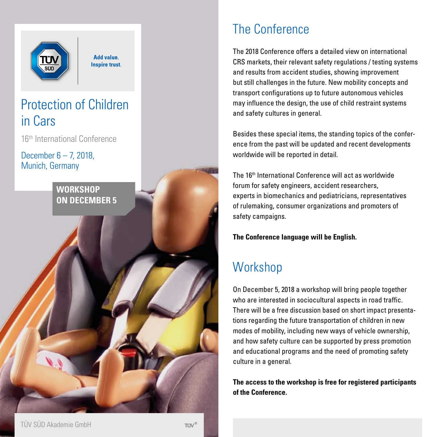

# The Conference

The 2018 Conference offers a detailed view on international CRS markets, their relevant safety regulations / testing systems and results from accident studies, showing improvement but still challenges in the future. New mobility concepts and transport configurations up to future autonomous vehicles may influence the design, the use of child restraint systems and safety cultures in general.

Besides these special items, the standing topics of the conference from the past will be updated and recent developments worldwide will be reported in detail.

The 16th International Conference will act as worldwide forum for safety engineers, accident researchers, experts in biomechanics and pediatricians, representatives of rulemaking, consumer organizations and promoters of safety campaigns.

**The Conference language will be English.**

# **Workshop**

On December 5, 2018 a workshop will bring people together who are interested in sociocultural aspects in road traffic. There will be a free discussion based on short impact presentations regarding the future transportation of children in new modes of mobility, including new ways of vehicle ownership, and how safety culture can be supported by press promotion and educational programs and the need of promoting safety culture in a general.

**The access to the workshop is free for registered participants of the Conference.**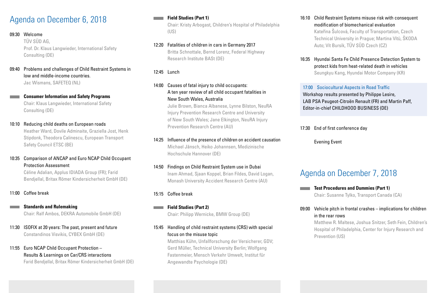# Agenda on December 6, 2018

### 09:30 Welcome

TÜV SÜD AG, Prof. Dr. Klaus Langwieder, International Safety Consulting (DE)

09:40 Problems and challenges of Child Restraint Systems in low and middle-income countries. Jac Wismans, SAFETEQ (NL)

**Consumer Information and Safety Programs** Chair: Klaus Langwieder, International Safety Consulting (DE)

10:10 Reducing child deaths on European roads

Heather Ward, Dovile Adminaite, Graziella Jost, Henk Stipdonk, Theodora Calinescu, European Transport Safety Council ETSC (BE)

### 10:35 Comparison of ANCAP and Euro NCAP Child Occupant Protection Assessment

Céline Adalian, Applus IDIADA Group (FR); Farid Bendjellal, Britax Römer Kindersicherheit GmbH (DE)

### 11:00 Coffee break

- **Standards and Rulemaking** Chair: Ralf Ambos, DEKRA Automobile GmbH (DE)
- 11:30 ISOFIX at 20 years: The past, present and future Constandinos Visvikis, CYBEX GmbH (DE)

### 11:55 Euro NCAP Child Occupant Protection – Results & Learnings on Car/CRS interactions

Farid Bendjellal, Britax Römer Kindersicherheit GmbH (DE)

### **Field Studies (Part 1)**

Chair: Kristy Arbogast, Children's Hospital of Philadelphia (US)

12:20 Fatalities of children in cars in Germany 2017 Britta Schnottale, Bernd Lorenz, Federal Highway Research Institute BASt (DE)

### 12:45 Lunch

### 14:00 Causes of fatal injury to child occupants: A ten year review of all child occupant fatalities in New South Wales, Australia

Julie Brown, Bianca Albanese, Lynne Bilston, NeuRA Injury Prevention Research Centre and University of New South Wales; Jane Elkington, NeuRA Injury Prevention Research Centre (AU)

### 14:25 Influence of the presence of children on accident causation Michael Jänsch, Heiko Johannsen, Medizinische

Hochschule Hannover (DE)

### 14:50 Findings on Child Restraint System use in Dubai

Inam Ahmad, Sjaan Koppel, Brian Fildes, David Logan, Monash University Accident Research Centre (AU)

### 15:15 Coffee break

**Field Studies (Part 2)** Chair: Philipp Wernicke, BMW Group (DE)

### 15:45 Handling of child restraint systems (CRS) with special focus on the misuse topic

Matthias Kühn, Unfallforschung der Versicherer, GDV; Gerd Müller, Technical University Berlin; Wolfgang Fastenmeier, Mensch Verkehr Umwelt, Institut für Angewandte Psychologie (DE)

### 16:10 Child Restraint Systems misuse risk with consequent modification of biomechanical evaluation Kateřina Šulcová, Faculty of Transportation, Czech Technical University in Prague; Martina Vítů, ŠKODA

16:35 Hyundai Santa Fe Child Presence Detection System to protect kids from heat-related death in vehicles

Seungkyu Kang, Hyundai Motor Company (KR)

### 17:00 Sociocultural Aspects in Road Traffic

Auto; Vít Bursík, TÜV SÜD Czech (CZ)

Workshop results presented by Philippe Lesire, LAB PSA Peugeot-Citroën Renault (FR) and Martin Paff, Editor-in-chief CHILDHOOD BUSINESS (DE)

17:30 End of first conference day

Evening Event

# Agenda on December 7, 2018

**Test Procedures and Dummies (Part 1)** Chair: Susanne Tylko, Transport Canada (CA)

### 09:00 Vehicle pitch in frontal crashes – implications for children in the rear rows

Matthew R. Maltese, Joshua Snitzer, Seth Fein, Children's Hospital of Philadelphia, Center for Injury Research and Prevention (US)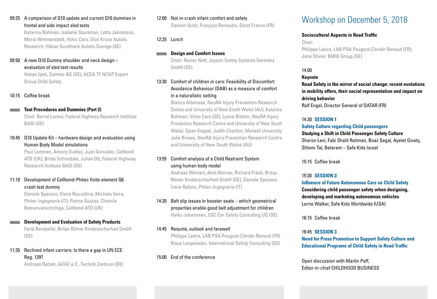### 09:25 A comparison of Q10 update and current Q10 dummies in frontal and side impact sled tests

Katarina Bohman, Isabelle Stockman, Lotta Jakobsson, Maria Wimmerstedt, Volvo Cars; Dion Kruse Autoliv Research, Håkan Sundmark Autoliv Sverige (SE)

### 09:50 A new Q10 Dummy shoulder and neck design evaluation of sled test results

Hakan Ipek, Daimler AG (DE); ACEA TF NCAP Expert Group Child Safety

### 10:15 Coffee break

### **Test Procedures and Dummies (Part 2)**

Chair: Bernd Lorenz, Federal Highway Research Institute BASt (DE)

### 10:45 Q10 Update Kit – hardware design and evaluation using Human Body Model simulations

Paul Lemmen, Antony Dudley, Juan Gonzalez, Cellbond ATD (UK); Britta Schnottale, Julian Ott, Federal Highway Research Institute BASt (DE)

### 11:10 Development of Cellbond-Phitec finite element Q6 crash test dummy

Daniele Speziani, Elena Riscaldina, Michela Vaira, Phitec Ingegneria (IT); Petros Goutas, Chamila Bamunuarachchige, Cellbond ATD (UK)

### **Development and Evaluation of Safety Products**

Farid Bendjellal, Britax Römer Kindersicherheit GmbH (DE)

### 11:35 Reclined infant carriers: Is there a gap in UN ECE Reg. 129?

Andreas Ratzek, ADAC e.V., Technik Zentrum (DE)

### 12:00 Not in-crash infant comfort and safety

Damien Subit, François Renaudin, Dorel France (FR)

### 12:25 Lunch

### **Design and Comfort Issues**

Chair: Reiner Nett, Joyson Safety Systems Germany GmbH (DE)

### 13:30 Comfort of children in cars: Feasibility of Discomfort Avoidance Behaviour (DAB) as a measure of comfort in a naturalistic setting

Bianca Albanese, NeuRA Injury Prevention Research Centre and University of New South Wales (AU); Katarina Bohman, Volvo Cars (SE); Lynne Bilston, NeuRA Injury Prevention Research Centre and University of New South Wales; Sjaan Koppel, Judith Charlton, Monash University; Julie Brown, NeuRA Injury Prevention Research Centre and University of New South Wales (AU)

### 13:55 Comfort analysis of a Child Restraint System using human body model

Andreas Weinert, Amit Ahirrao, Richard Frank, Britax Römer Kindersicherheit GmbH (DE); Daniele Speziani, Irene Rabino, Phitec Ingegneria (IT)

### 14:20 Belt slip issues in booster seats – which geometrical properties enable good belt adjustment for children Heiko Johannsen, CSC Car Safety Consulting UG (DE)

### 14:45 Resumé, outlook and farewell Philippe Lesire, LAB PSA Peugeot-Citroën Renault (FR) Klaus Langwieder, International Safety Consulting (DE)

### 15:00 End of the conference

# Workshop on December 5, 2018

### **Sociocultural Aspects in Road Traffic**

Chair:

Philippe Lesire, LAB PSA Peugeot-Citroën Renault (FR); Jana Olivier, BMW Group (DE)

### 14.00

### **Keynote**

**Road Safety in the mirror of social change: recent evolutions in mobility offers, their social representation and impact on driving behavior**

Ralf Engel, Director General of DATAR (FR)

### 14:30 **SESSION 1**

### **Safety Culture regarding Child passengers**

### **Studying a Shift in Child Passenger Safety Culture**

Sharon Levi, Fabi Shalit Reitman, Boaz Segal, Ayelet Givaty, Shlomi Tal, Beterem – Safe Kids Israel

15:15 Coffee break

### 15:30 **SESSION 2:**

**Influence of Future Autonomous Cars on Child Safety Considering child passenger safety when designing, developing and marketing autonomous vehicles** Lorrie Walker, Safe Kids Worldwide (USA)

16:15 Coffee break

### 16:45 **SESSION 3**

**Need for Press Promotion to Support Safety Culture and Educational Programs of Child Safety in Road Traffic**

Open discussion with Martin Paff, Editor-in-chief CHILDHOOD BUSINESS